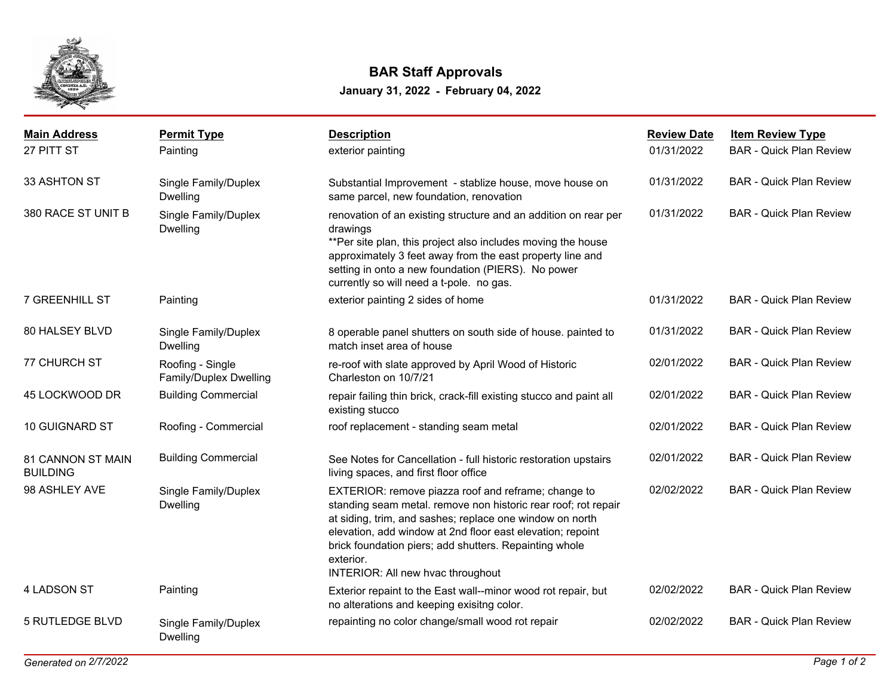

## **January 31, 2022 - February 04, 2022 BAR Staff Approvals**

| <b>Main Address</b>                  | <b>Permit Type</b>                         | <b>Description</b>                                                                                                                                                                                                                                                                                                                                          | <b>Review Date</b> | <b>Item Review Type</b>        |
|--------------------------------------|--------------------------------------------|-------------------------------------------------------------------------------------------------------------------------------------------------------------------------------------------------------------------------------------------------------------------------------------------------------------------------------------------------------------|--------------------|--------------------------------|
| 27 PITT ST                           | Painting                                   | exterior painting                                                                                                                                                                                                                                                                                                                                           | 01/31/2022         | <b>BAR - Quick Plan Review</b> |
| 33 ASHTON ST                         | Single Family/Duplex<br><b>Dwelling</b>    | Substantial Improvement - stablize house, move house on<br>same parcel, new foundation, renovation                                                                                                                                                                                                                                                          | 01/31/2022         | <b>BAR - Quick Plan Review</b> |
| 380 RACE ST UNIT B                   | Single Family/Duplex<br><b>Dwelling</b>    | renovation of an existing structure and an addition on rear per<br>drawings<br>**Per site plan, this project also includes moving the house<br>approximately 3 feet away from the east property line and<br>setting in onto a new foundation (PIERS). No power<br>currently so will need a t-pole. no gas.                                                  | 01/31/2022         | <b>BAR - Quick Plan Review</b> |
| 7 GREENHILL ST                       | Painting                                   | exterior painting 2 sides of home                                                                                                                                                                                                                                                                                                                           | 01/31/2022         | <b>BAR - Quick Plan Review</b> |
| 80 HALSEY BLVD                       | Single Family/Duplex<br><b>Dwelling</b>    | 8 operable panel shutters on south side of house. painted to<br>match inset area of house                                                                                                                                                                                                                                                                   | 01/31/2022         | <b>BAR - Quick Plan Review</b> |
| 77 CHURCH ST                         | Roofing - Single<br>Family/Duplex Dwelling | re-roof with slate approved by April Wood of Historic<br>Charleston on 10/7/21                                                                                                                                                                                                                                                                              | 02/01/2022         | <b>BAR - Quick Plan Review</b> |
| 45 LOCKWOOD DR                       | <b>Building Commercial</b>                 | repair failing thin brick, crack-fill existing stucco and paint all<br>existing stucco                                                                                                                                                                                                                                                                      | 02/01/2022         | <b>BAR - Quick Plan Review</b> |
| <b>10 GUIGNARD ST</b>                | Roofing - Commercial                       | roof replacement - standing seam metal                                                                                                                                                                                                                                                                                                                      | 02/01/2022         | <b>BAR - Quick Plan Review</b> |
| 81 CANNON ST MAIN<br><b>BUILDING</b> | <b>Building Commercial</b>                 | See Notes for Cancellation - full historic restoration upstairs<br>living spaces, and first floor office                                                                                                                                                                                                                                                    | 02/01/2022         | <b>BAR - Quick Plan Review</b> |
| 98 ASHLEY AVE                        | Single Family/Duplex<br><b>Dwelling</b>    | EXTERIOR: remove piazza roof and reframe; change to<br>standing seam metal. remove non historic rear roof; rot repair<br>at siding, trim, and sashes; replace one window on north<br>elevation, add window at 2nd floor east elevation; repoint<br>brick foundation piers; add shutters. Repainting whole<br>exterior.<br>INTERIOR: All new hvac throughout | 02/02/2022         | <b>BAR - Quick Plan Review</b> |
| 4 LADSON ST                          | Painting                                   | Exterior repaint to the East wall--minor wood rot repair, but<br>no alterations and keeping exisitng color.                                                                                                                                                                                                                                                 | 02/02/2022         | <b>BAR - Quick Plan Review</b> |
| <b>5 RUTLEDGE BLVD</b>               | Single Family/Duplex<br><b>Dwelling</b>    | repainting no color change/small wood rot repair                                                                                                                                                                                                                                                                                                            | 02/02/2022         | <b>BAR - Quick Plan Review</b> |